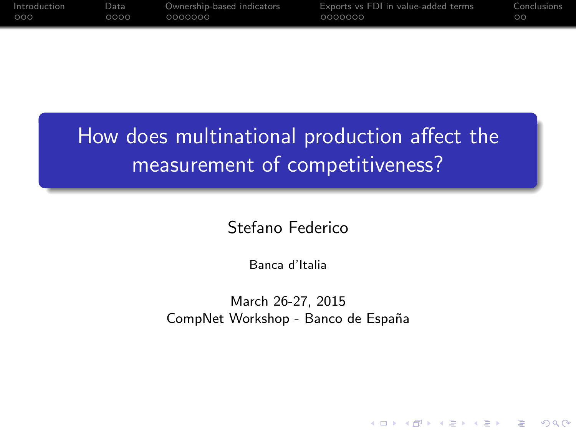| Introduction | Data. | Ownership-based indicators | Exports vs FDI in value-added terms | Conclusions |
|--------------|-------|----------------------------|-------------------------------------|-------------|
| 000          | ററററ  | 0000000                    | 0000000                             | <b>TOO.</b> |

# How does multinational production affect the measurement of competitiveness?

Stefano Federico

Banca d'Italia

March 26-27, 2015 CompNet Workshop - Banco de España

**KORK ERKER ADE YOUR**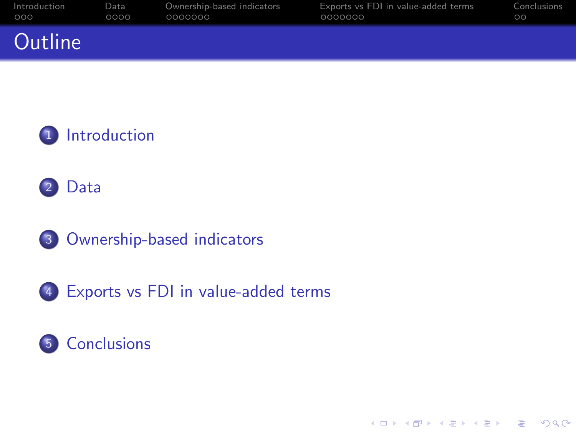| Introduction | Data | Ownership-based indicators | Exports vs FDI in value-added terms | Conclusions |
|--------------|------|----------------------------|-------------------------------------|-------------|
| 000          | 0000 | 0000000                    | 0000000                             | ററ          |
| Outline      |      |                            |                                     |             |







[Exports vs FDI in value-added terms](#page-16-0)

#### [Conclusions](#page-23-0)

K ロ ▶ K @ ▶ K 할 > K 할 > 1 할 > 1 이익어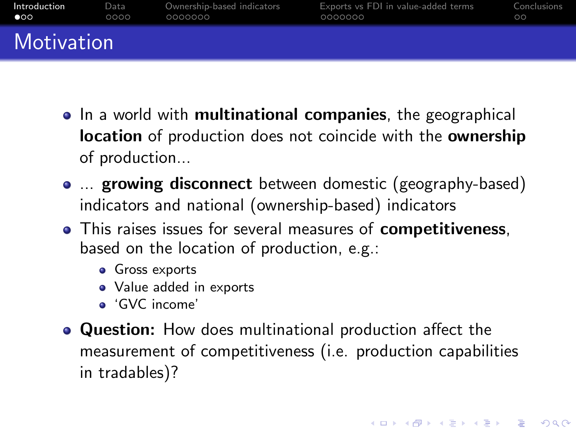| Introduction | Data | Ownership-based indicators | Exports vs FDI in value-added terms | Conclusions |
|--------------|------|----------------------------|-------------------------------------|-------------|
| $\bullet$    | ೧೧೧೧ | 0000000                    | 0000000                             | ററ          |
| Motivation   |      |                            |                                     |             |

- In a world with **multinational companies**, the geographical location of production does not coincide with the ownership of production...
- ... growing disconnect between domestic (geography-based) indicators and national (ownership-based) indicators
- This raises issues for several measures of **competitiveness**, based on the location of production, e.g.:
	- **•** Gross exports
	- Value added in exports
	- 'GVC income'
- <span id="page-2-0"></span>Question: How does multinational production affect the measurement of competitiveness (i.e. production capabilities in tradables)?

**KORK ERKER ADE YOUR**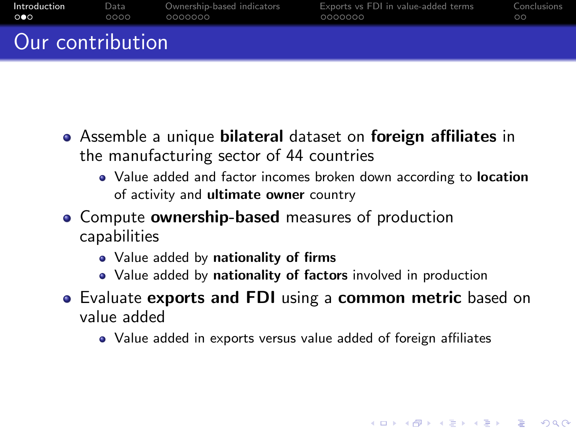| Introduction          | Data | Ownership-based indicators | Exports vs FDI in value-added terms | Conclusions |
|-----------------------|------|----------------------------|-------------------------------------|-------------|
| $\circ \bullet \circ$ | 0000 | 0000000                    | 0000000                             | ററ          |
| Our contribution      |      |                            |                                     |             |

- Assemble a unique bilateral dataset on foreign affiliates in the manufacturing sector of 44 countries
	- Value added and factor incomes broken down according to location of activity and ultimate owner country
- Compute **ownership-based** measures of production capabilities
	- Value added by nationality of firms
	- Value added by nationality of factors involved in production
- **•** Evaluate exports and FDI using a common metric based on value added
	- Value added in exports versus value added of foreign affiliates

**KORK ERKER ADE YOUR**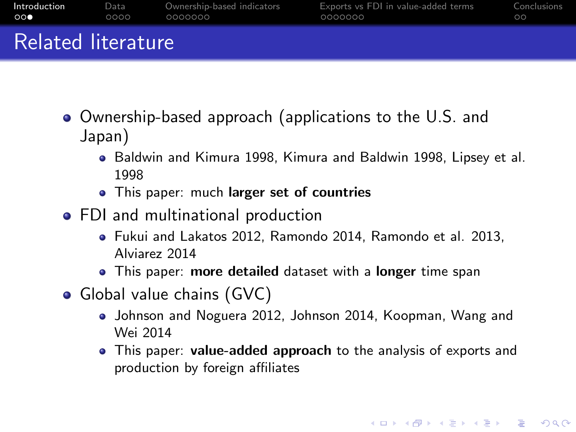| __           |      |                            |                                     |             |
|--------------|------|----------------------------|-------------------------------------|-------------|
| Introduction | Data | Ownership-based indicators | Exports vs FDI in value-added terms | Conclusions |
| ററ           | OOOO | 0000000                    | 0000000                             | ററ          |

Related literature

- Ownership-based approach (applications to the U.S. and Japan)
	- Baldwin and Kimura 1998, Kimura and Baldwin 1998, Lipsey et al. 1998
	- This paper: much larger set of countries
- FDI and multinational production
	- Fukui and Lakatos 2012, Ramondo 2014, Ramondo et al. 2013, Alviarez 2014
	- **•** This paper: more detailed dataset with a longer time span
- Global value chains (GVC)
	- Johnson and Noguera 2012, Johnson 2014, Koopman, Wang and Wei 2014
	- This paper: value-added approach to the analysis of exports and production by foreign affiliates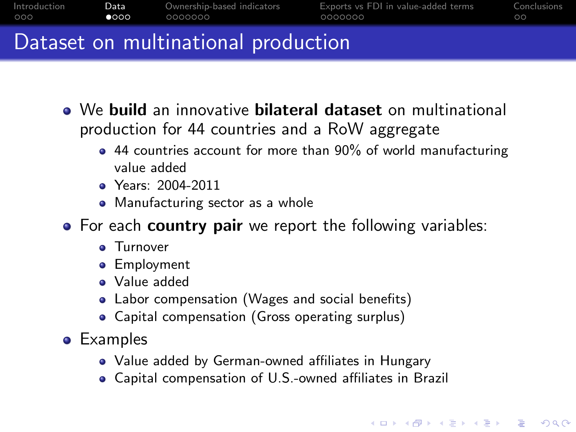|              |               | . Nata astronomia della attacce lugge di cattano |                                     |             |
|--------------|---------------|--------------------------------------------------|-------------------------------------|-------------|
| OOO.         | $\bullet$ 000 | .0000000                                         | 0000000                             | ററ          |
| Introduction | Data :        | Ownership-based indicators                       | Exports vs FDI in value-added terms | Conclusions |

#### Dataset on multinational production

- We build an innovative bilateral dataset on multinational production for 44 countries and a RoW aggregate
	- 44 countries account for more than 90% of world manufacturing value added
	- Years: 2004-2011
	- Manufacturing sector as a whole
- For each **country pair** we report the following variables:
	- **a** Turnover
	- **•** Employment
	- Value added
	- Labor compensation (Wages and social benefits)
	- Capital compensation (Gross operating surplus)
- <span id="page-5-0"></span>Examples
	- Value added by German-owned affiliates in Hungary
	- Capital compensation of U.S.-owned affiliates in Brazil

**KORK ERKER ADE YOUR**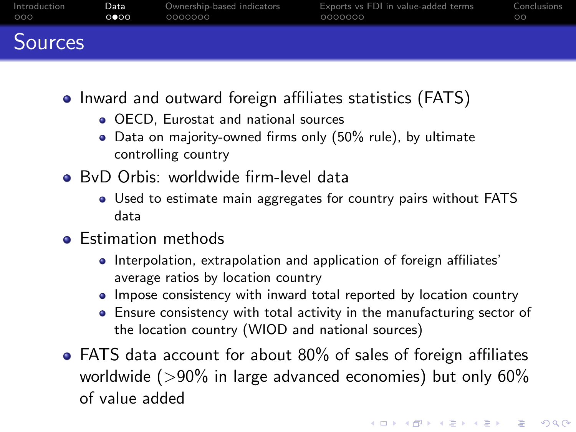| Introduction   | Data | Ownership-based indicators | Exports vs FDI in value-added terms | Conclusions |
|----------------|------|----------------------------|-------------------------------------|-------------|
| 000            | ററെ  | 0000000                    | 0000000                             | ററ          |
| <b>Sources</b> |      |                            |                                     |             |

- Inward and outward foreign affiliates statistics (FATS)
	- **OECD. Eurostat and national sources**
	- Data on majority-owned firms only (50% rule), by ultimate controlling country
- BvD Orbis: worldwide firm-level data
	- Used to estimate main aggregates for country pairs without FATS data
- **•** Estimation methods
	- Interpolation, extrapolation and application of foreign affiliates' average ratios by location country
	- Impose consistency with inward total reported by location country
	- Ensure consistency with total activity in the manufacturing sector of the location country (WIOD and national sources)
- FATS data account for about 80% of sales of foreign affiliates worldwide ( $>90\%$  in large advanced economies) but only 60% of value added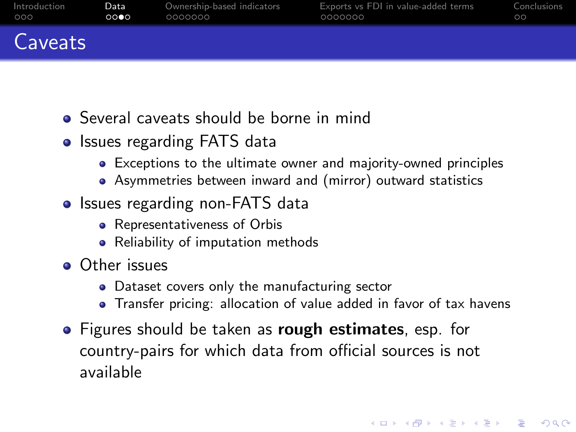| Introduction | Data | Ownership-based indicators | Exports vs FDI in value-added terms | Conclusions |
|--------------|------|----------------------------|-------------------------------------|-------------|
| 000          | റററെ | 0000000                    | 0000000                             | ററ          |
| Caveats      |      |                            |                                     |             |

- Several caveats should be borne in mind
- Issues regarding FATS data
	- Exceptions to the ultimate owner and majority-owned principles
	- Asymmetries between inward and (mirror) outward statistics
- Issues regarding non-FATS data
	- Representativeness of Orbis
	- Reliability of imputation methods
- **o** Other issues
	- **•** Dataset covers only the manufacturing sector
	- Transfer pricing: allocation of value added in favor of tax havens

**KORK ERKER ADE YOUR** 

**•** Figures should be taken as **rough estimates**, esp. for country-pairs for which data from official sources is not available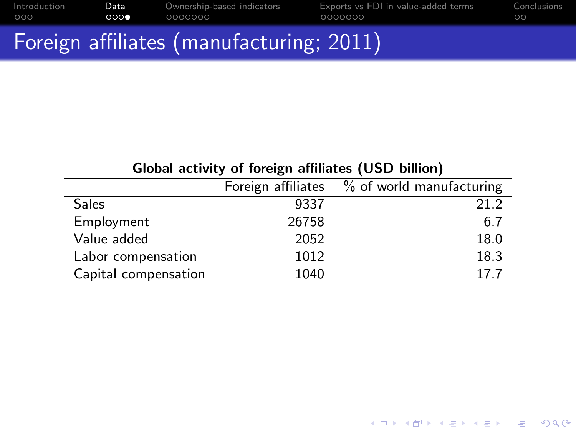|              |      | Foreign affiliates (manufacturing; 2011) |                                     |             |
|--------------|------|------------------------------------------|-------------------------------------|-------------|
| Introduction | Data | Ownership-based indicators               | Exports vs FDI in value-added terms | Conclusions |
| 000          | 0000 | 0000000                                  | 0000000                             | ററ          |

| Global activity of foreign affiliates (USD billion) |                                        |
|-----------------------------------------------------|----------------------------------------|
|                                                     | Foreign affiliates % of world manufact |

\_\_\_\_

<span id="page-8-0"></span>

|                      |       | Foreign affiliates % of world manufacturing |
|----------------------|-------|---------------------------------------------|
| <b>Sales</b>         | 9337  | 21.2                                        |
| Employment           | 26758 | 6.7                                         |
| Value added          | 2052  | 18.0                                        |
| Labor compensation   | 1012  | 18.3                                        |
| Capital compensation | 1040  | 17.7                                        |

メロトメ 伊 トメミトメミト ニミー りんぴ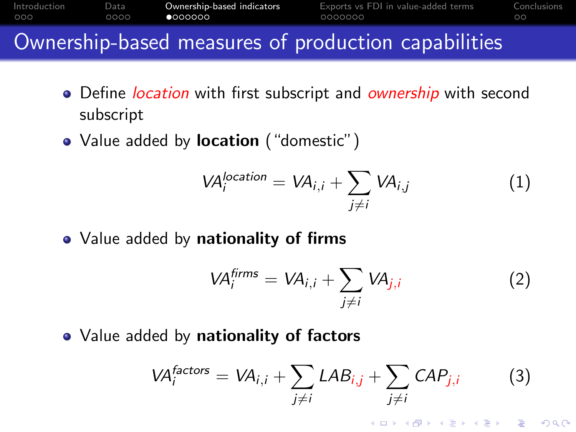| Introduction | Data | Ownership-based indicators | Exports vs FDI in value-added terms | Conclusions |
|--------------|------|----------------------------|-------------------------------------|-------------|
| 000          | ററററ | 00000007                   | 0000000                             | ററ          |
| $\sim$       |      |                            | .                                   |             |

#### Ownership-based measures of production capabilities

- Define *location* with first subscript and *ownership* with second subscript
- Value added by **location** ("domestic")

$$
VAilocation = VAi,i + \sum_{j \neq i} VAi,j
$$
 (1)

• Value added by nationality of firms

$$
VA_i^{firms} = VA_{i,i} + \sum_{j \neq i} VA_{j,i}
$$
 (2)

<span id="page-9-0"></span>• Value added by nationality of factors

$$
VA_i^{factors} = VA_{i,i} + \sum_{j \neq i} LAB_{i,j} + \sum_{j \neq i} CAP_{j,i}
$$
 (3)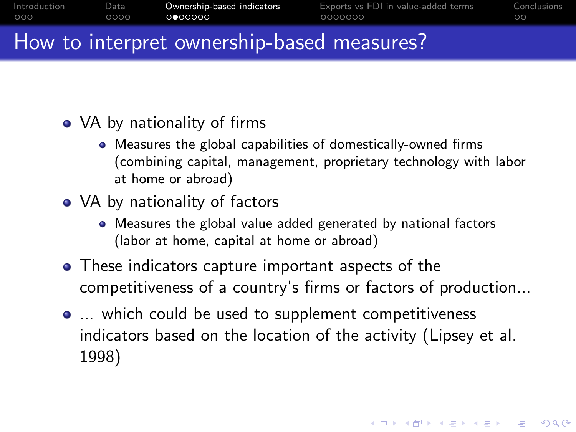| Introduction | Data | Ownership-based indicators | Exports vs FDI in value-added terms | Conclusions |
|--------------|------|----------------------------|-------------------------------------|-------------|
| 000          | 0000 | 0000000                    | 0000000                             | ററ          |
|              |      |                            |                                     |             |

#### How to interpret ownership-based measures?

- VA by nationality of firms
	- Measures the global capabilities of domestically-owned firms (combining capital, management, proprietary technology with labor at home or abroad)
- VA by nationality of factors
	- Measures the global value added generated by national factors (labor at home, capital at home or abroad)
- **•** These indicators capture important aspects of the competitiveness of a country's firms or factors of production...
- ... which could be used to supplement competitiveness indicators based on the location of the activity (Lipsey et al. 1998)

4 D > 4 P + 4 B + 4 B + B + 9 Q O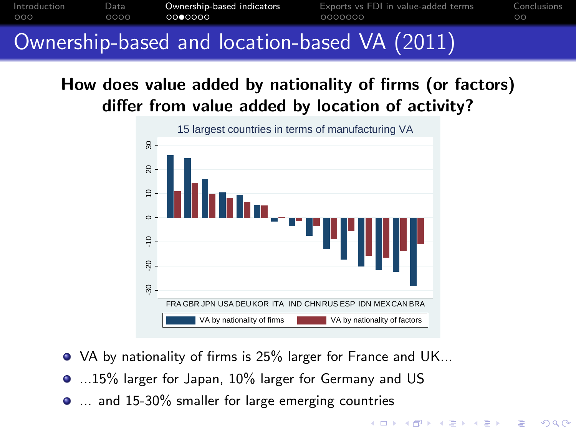[Introduction](#page-2-0) [Data](#page-5-0) [Ownership-based indicators](#page-9-0) [Exports vs FDI in value-added terms](#page-16-0) [Conclusions](#page-23-0)  $0000$ 0000000  $\Omega$ 

#### Ownership-based and location-based VA (2011)

#### How does value added by nationality of firms (or factors) differ from value added by location of activity?



**KOD KAR KED KED E YORA** 

- VA by nationality of firms is 25% larger for France and UK...
- $\bullet$  ...15% larger for Japan, 10% larger for Germany and US
- <span id="page-11-0"></span>**...** and 15-30% smaller for large emerging countries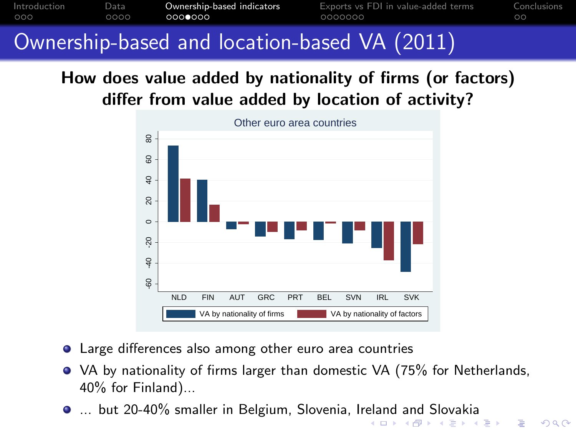[Introduction](#page-2-0) [Data](#page-5-0) **[Ownership-based indicators](#page-9-0)** [Exports vs FDI in value-added terms](#page-16-0) [Conclusions](#page-23-0)<br>000 000 000**0000** 000**0000** 000000 0000000 000  $0000$ 0000000  $\circ$ 

## Ownership-based and location-based VA (2011)

#### How does value added by nationality of firms (or factors) differ from value added by location of activity?



- Large differences also among other euro area countries
- VA by nationality of firms larger than domestic VA (75% for Netherlands, 40% for Finland)...
- <span id="page-12-0"></span>... but 20-40% smaller in Belgium, Slovenia, Ir[ela](#page-11-0)[nd](#page-13-0) [a](#page-11-0)[nd](#page-12-0) [S](#page-13-0)[lo](#page-8-0)[v](#page-9-0)[a](#page-15-0)[k](#page-16-0)[ia](#page-8-0)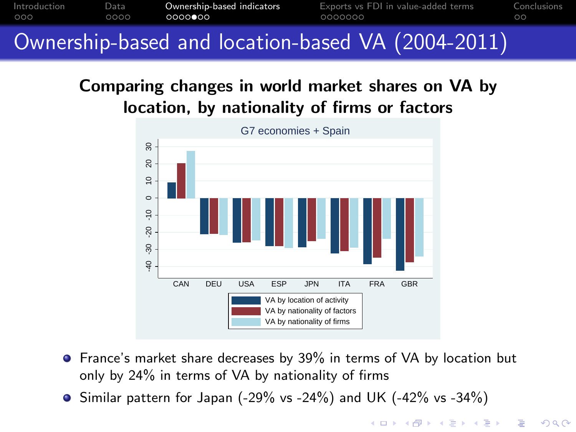

# Ownership-based and location-based VA (2004-2011)

#### Comparing changes in world market shares on VA by location, by nationality of firms or factors



**•** France's market share decreases by 39% in terms of VA by location but only by 24% in terms of VA by nationality of firms

 $2Q$ 

<span id="page-13-0"></span> $\bullet$  Similar pattern for Japan (-29% vs -24%) and UK (-42% vs -34%)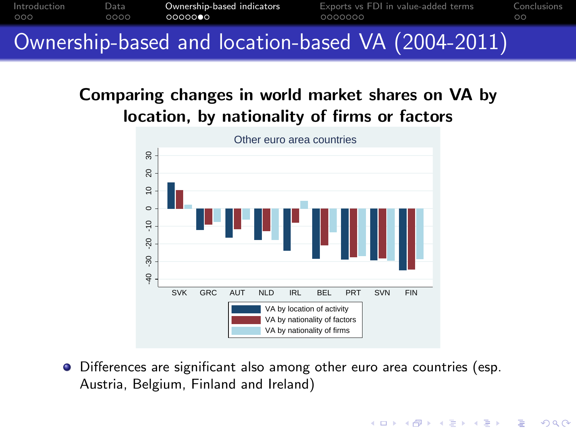

#### Comparing changes in world market shares on VA by location, by nationality of firms or factors



Differences are significant also among other euro area countries (esp. Austria, Belgium, Finland and Ireland)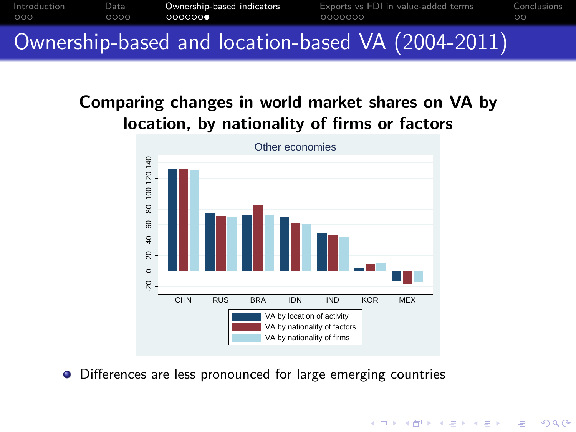

#### Comparing changes in world market shares on VA by location, by nationality of firms or factors



**KORK STRAIN A BAR SHOP** 

<span id="page-15-0"></span>• Differences are less pronounced for large emerging countries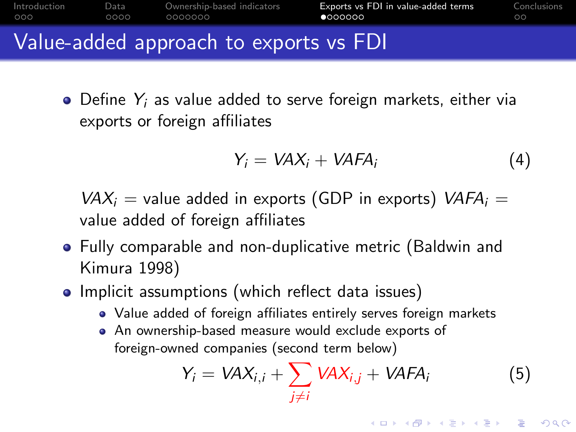| Introduction | Data  | Ownership-based indicators | Exports vs FDI in value-added terms | Conclusions |
|--------------|-------|----------------------------|-------------------------------------|-------------|
| 000          | nono. | 0000000                    | <b>©െറററ</b>                        | ററ          |
|              |       |                            |                                     |             |

#### Value-added approach to exports vs FDI

 $\bullet$  Define  $Y_i$  as value added to serve foreign markets, either via exports or foreign affiliates

$$
Y_i = VAX_i + VAFA_i \tag{4}
$$

 $VAX_i$  = value added in exports (GDP in exports)  $VAFA_i$  = value added of foreign affiliates

- Fully comparable and non-duplicative metric (Baldwin and Kimura 1998)
- <span id="page-16-0"></span>• Implicit assumptions (which reflect data issues)
	- Value added of foreign affiliates entirely serves foreign markets
	- An ownership-based measure would exclude exports of foreign-owned companies (second term below)

$$
Y_i = VAX_{i,i} + \sum_{j \neq i} VAX_{i,j} + VAFA_i
$$
 (5)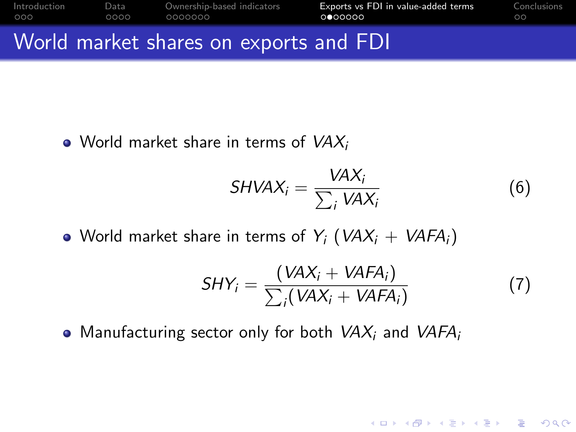| 000 | ററററ | .0000000                               | 0000000 | ററ |
|-----|------|----------------------------------------|---------|----|
|     |      | World market shares on exports and FDI |         |    |

• World market share in terms of  $VAX_i$ 

$$
SHVAX_i = \frac{VAX_i}{\sum_i VAX_i}
$$
 (6)

• World market share in terms of  $Y_i$  (VAX<sub>i</sub> + VAFA<sub>i</sub>)

$$
SHY_i = \frac{(VAX_i + VAFA_i)}{\sum_i (VAX_i + VAFA_i)}
$$
(7)

K ロ > K @ > K 할 > K 할 > → 할 → ⊙ Q ⊙

• Manufacturing sector only for both  $VAX_i$  and  $VAFA_i$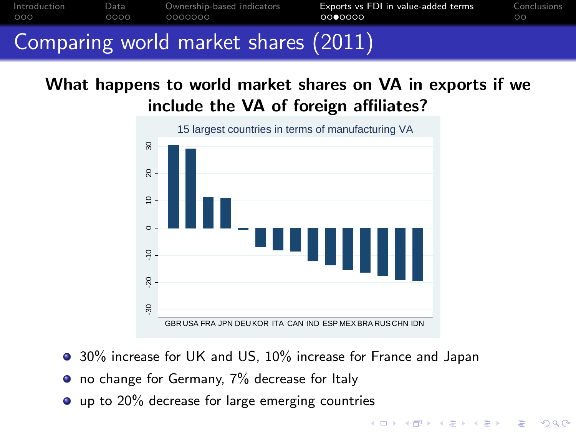

#### What happens to world market shares on VA in exports if we include the VA of foreign affiliates?



● 30% increase for UK and US, 10% increase for France and Japan

- no change for Germany, 7% decrease for Italy
- **•** up to 20% decrease for large emerging countries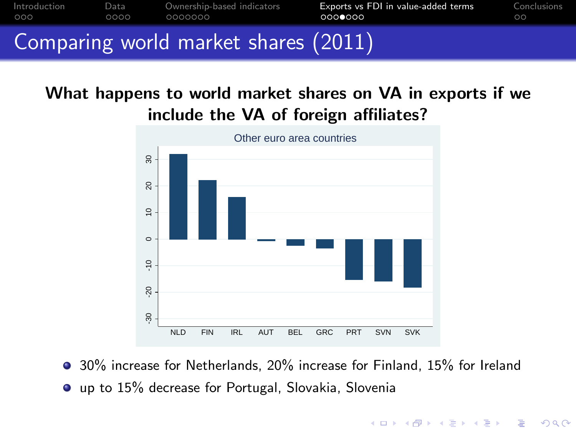

#### What happens to world market shares on VA in exports if we include the VA of foreign affiliates?



30% increase for Netherlands, 20% increase for Finland, 15% for Ireland up to 15% decrease for Portugal, Slovakia, Slovenia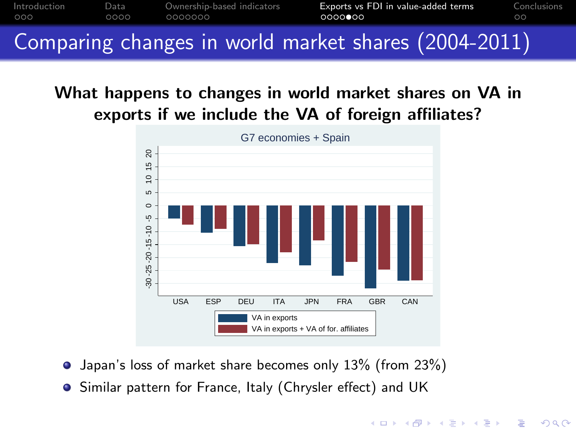

Comparing changes in world market shares (2004-2011)

#### What happens to changes in world market shares on VA in exports if we include the VA of foreign affiliates?



- Japan's loss of market share becomes only 13% (from 23%)
- Similar pattern for France, Italy (Chrysler effect) and UK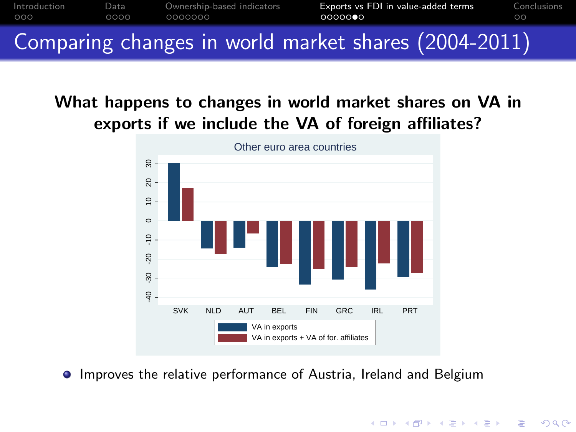

#### What happens to changes in world market shares on VA in exports if we include the VA of foreign affiliates?



**•** Improves the relative performance of Austria, Ireland and Belgium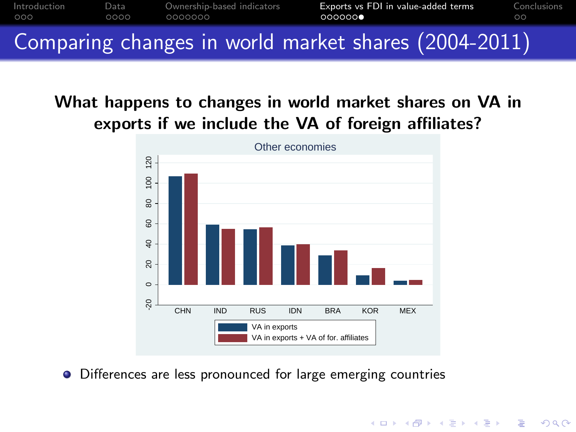

#### What happens to changes in world market shares on VA in exports if we include the VA of foreign affiliates?



**KORK STRAIN A BAR SHOP** 

• Differences are less pronounced for large emerging countries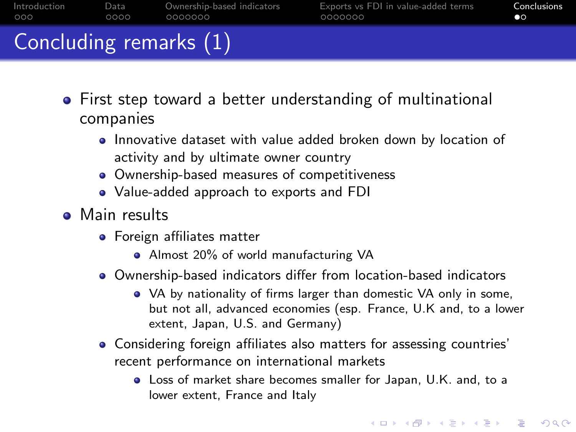| Concluding remarks (1) |      |                            |                                     |             |
|------------------------|------|----------------------------|-------------------------------------|-------------|
| Introduction           | Data | Ownership-based indicators | Exports vs FDI in value-added terms | Conclusions |
| 000                    | 0000 | 0000000                    | 0000000                             | nо          |

- First step toward a better understanding of multinational companies
	- **Innovative dataset with value added broken down by location of** activity and by ultimate owner country
	- Ownership-based measures of competitiveness
	- Value-added approach to exports and FDI
- <span id="page-23-0"></span>**•** Main results
	- Foreign affiliates matter
		- Almost 20% of world manufacturing VA
	- Ownership-based indicators differ from location-based indicators
		- VA by nationality of firms larger than domestic VA only in some, but not all, advanced economies (esp. France, U.K and, to a lower extent, Japan, U.S. and Germany)
	- Considering foreign affiliates also matters for assessing countries' recent performance on international markets
		- Loss of market share becomes smaller for Japan, U.K. and, to a lower extent, France and Italy

**KORK ERKER ADE YOUR**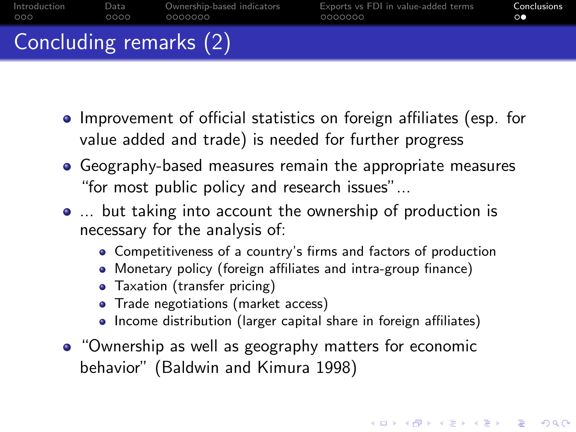| Introduction           | Data | Ownership-based indicators | Exports vs FDI in value-added terms | Conclusions |
|------------------------|------|----------------------------|-------------------------------------|-------------|
| 000                    | 0000 | 0000000                    | 0000000                             | $\circ$     |
| Concluding remarks (2) |      |                            |                                     |             |

- Improvement of official statistics on foreign affiliates (esp. for value added and trade) is needed for further progress
- Geography-based measures remain the appropriate measures "for most public policy and research issues"...
- ... but taking into account the ownership of production is necessary for the analysis of:
	- Competitiveness of a country's firms and factors of production
	- Monetary policy (foreign affiliates and intra-group finance)
	- **Taxation (transfer pricing)**
	- Trade negotiations (market access)
	- Income distribution (larger capital share in foreign affiliates)

**KORKAR KERKER EL VOLO** 

<span id="page-24-0"></span>• "Ownership as well as geography matters for economic behavior" (Baldwin and Kimura 1998)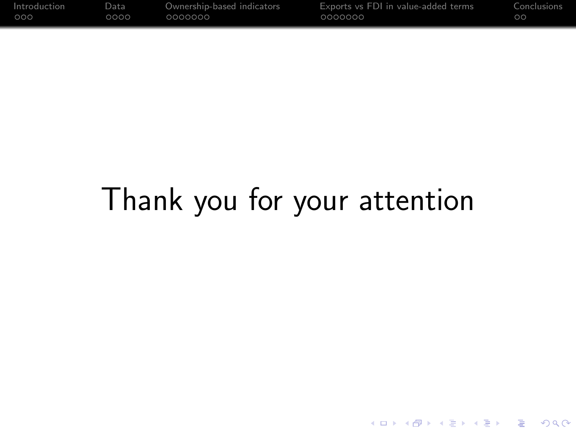| Introduction | Data. | Ownership-based indicators | Exports vs FDI in value-added terms | Conclusions |
|--------------|-------|----------------------------|-------------------------------------|-------------|
| 000          | ററററ  | 0000000                    | 0000000                             | OC          |

# <span id="page-25-0"></span>Thank you for your attention

K ロ X イロ X K ミ X K ミ X ミ X Y Q Q Q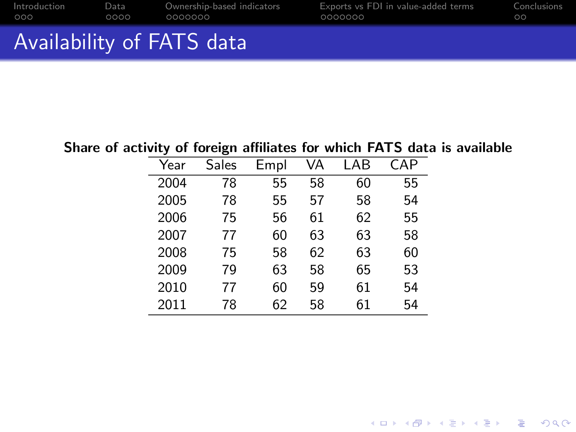|              |      | Availability of FATS data  |                                     |             |
|--------------|------|----------------------------|-------------------------------------|-------------|
| Introduction | Data | Ownership-based indicators | Exports vs FDI in value-added terms | Conclusions |
| റററ          | റററെ | .0000000                   | 0000000                             | ററ          |

#### Share of activity of foreign affiliates for which FATS data is available

| Year | Sales | Empl | VA | LAB | CAP |
|------|-------|------|----|-----|-----|
| 2004 | 78    | 55   | 58 | 60  | 55  |
| 2005 | 78    | 55   | 57 | 58  | 54  |
| 2006 | 75    | 56   | 61 | 62  | 55  |
| 2007 | 77    | 60   | 63 | 63  | 58  |
| 2008 | 75    | 58   | 62 | 63  | 60  |
| 2009 | 79    | 63   | 58 | 65  | 53  |
| 2010 | 77    | 60   | 59 | 61  | 54  |
| 2011 | 78    | 62   | 58 | 61  | 54  |

K ロ X K 메 X K B X X B X X D X O Q Q O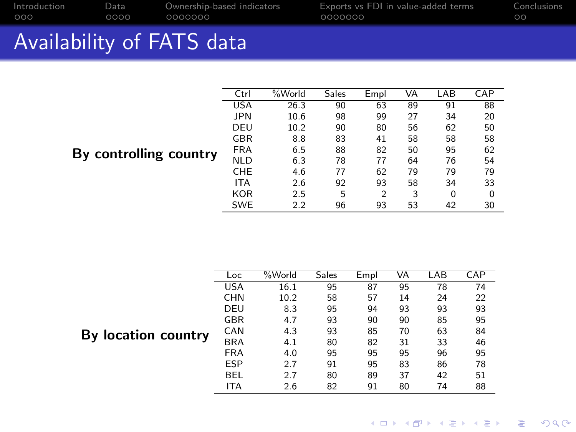$\overline{\phantom{0}}$ 

[Introduction](#page-2-0) [Data](#page-5-0) [Ownership-based indicators](#page-9-0) [Exports vs FDI in value-added terms](#page-16-0) [Conclusions](#page-23-0)

# Availability of FATS data

| Ctrl       | %World | Sales | Empl | VA | LAB | CAP |
|------------|--------|-------|------|----|-----|-----|
| <b>USA</b> | 26.3   | 90    | 63   | 89 | 91  | 88  |
| <b>JPN</b> | 10.6   | 98    | 99   | 27 | 34  | 20  |
| DEU        | 10.2   | 90    | 80   | 56 | 62  | 50  |
| GBR        | 8.8    | 83    | 41   | 58 | 58  | 58  |
| <b>FRA</b> | 6.5    | 88    | 82   | 50 | 95  | 62  |
| <b>NLD</b> | 6.3    | 78    | 77   | 64 | 76  | 54  |
| CHE        | 4.6    | 77    | 62   | 79 | 79  | 79  |
| <b>ITA</b> | 2.6    | 92    | 93   | 58 | 34  | 33  |
| <b>KOR</b> | 2.5    | 5     | 2    | 3  | 0   | 0   |
| <b>SWE</b> | 2.2    | 96    | 93   | 53 | 42  | 30  |
|            |        |       |      |    |     |     |

#### By controlling country

| Loc        | %World | Sales | Empl | VA | LAB | CAP |
|------------|--------|-------|------|----|-----|-----|
| <b>USA</b> | 16.1   | 95    | 87   | 95 | 78  | 74  |
| <b>CHN</b> | 10.2   | 58    | 57   | 14 | 24  | 22  |
| DEU        | 8.3    | 95    | 94   | 93 | 93  | 93  |
| GBR        | 4.7    | 93    | 90   | 90 | 85  | 95  |
| <b>CAN</b> | 4.3    | 93    | 85   | 70 | 63  | 84  |
| <b>BRA</b> | 4.1    | 80    | 82   | 31 | 33  | 46  |
| <b>FRA</b> | 4.0    | 95    | 95   | 95 | 96  | 95  |
| <b>ESP</b> | 2.7    | 91    | 95   | 83 | 86  | 78  |
| <b>BEL</b> | 2.7    | 80    | 89   | 37 | 42  | 51  |
| <b>ITA</b> | 2.6    | 82    | 91   | 80 | 74  | 88  |

#### <span id="page-27-0"></span>By location country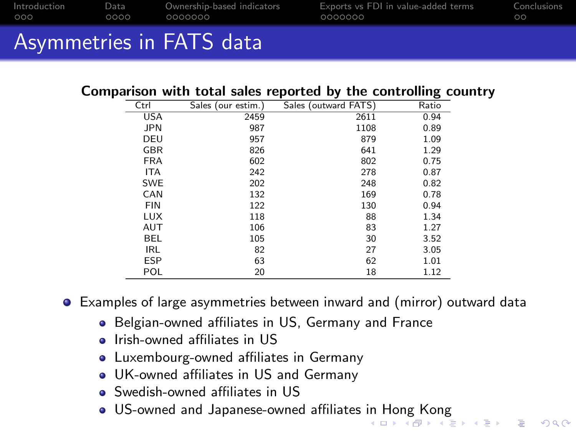| Introduction | Data | Ownership-based indicators | Exports vs FDI in value-added terms | Conclusions |
|--------------|------|----------------------------|-------------------------------------|-------------|
| റററ          | റററ  | 0000000                    | 0000000                             | ററ          |
|              |      |                            |                                     |             |

# Asymmetries in FATS data

#### Comparison with total sales reported by the controlling country

| Ctrl       | Sales (our estim.) | Sales (outward FATS) | Ratio |
|------------|--------------------|----------------------|-------|
| <b>USA</b> | 2459               | 2611                 | 0.94  |
| <b>JPN</b> | 987                | 1108                 | 0.89  |
| DEU        | 957                | 879                  | 1.09  |
| <b>GBR</b> | 826                | 641                  | 1.29  |
| <b>FRA</b> | 602                | 802                  | 0.75  |
| <b>ITA</b> | 242                | 278                  | 0.87  |
| <b>SWE</b> | 202                | 248                  | 0.82  |
| CAN        | 132                | 169                  | 0.78  |
| <b>FIN</b> | 122                | 130                  | 0.94  |
| <b>LUX</b> | 118                | 88                   | 1.34  |
| AUT        | 106                | 83                   | 1.27  |
| <b>BEL</b> | 105                | 30                   | 3.52  |
| <b>IRL</b> | 82                 | 27                   | 3.05  |
| <b>ESP</b> | 63                 | 62                   | 1.01  |
| <b>POL</b> | 20                 | 18                   | 1.12  |

Examples of large asymmetries between inward and (mirror) outward data

- **Belgian-owned affiliates in US, Germany and France**
- **a** Irish-owned affiliates in US
- Luxembourg-owned affiliates in Germany
- UK-owned affiliates in US and Germany
- Swedish-owned affiliates in US
- <span id="page-28-0"></span>US-owned and Japanese-owned affiliates [in](#page-27-0) [Ho](#page-29-0)[n](#page-27-0)[g K](#page-28-0)[o](#page-29-0)[n](#page-24-0)[g](#page-25-0)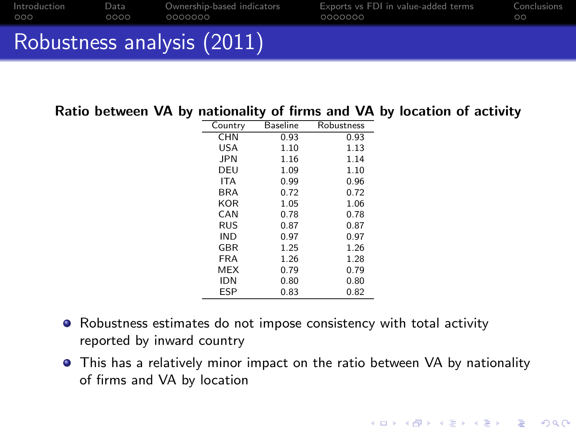| Introduction | Data | Ownership-based indicators | Exports vs FDI in value-added terms | Conclusions |
|--------------|------|----------------------------|-------------------------------------|-------------|
| റററ          | 0000 | 0000000                    | 0000000                             | ററ          |
|              |      | Robustness analysis (2011) |                                     |             |

#### Ratio between VA by nationality of firms and VA by location of activity

| Country    | <b>Baseline</b> | Robustness |
|------------|-----------------|------------|
| <b>CHN</b> | 0.93            | 0.93       |
| USA        | 1.10            | 1.13       |
| <b>JPN</b> | 1.16            | 1.14       |
| DEU        | 1.09            | 1.10       |
| <b>ITA</b> | 0.99            | 0.96       |
| <b>BRA</b> | 0.72            | 0.72       |
| KOR        | 1.05            | 1.06       |
| CAN        | 0.78            | 0.78       |
| <b>RUS</b> | 0.87            | 0.87       |
| <b>IND</b> | 0.97            | 0.97       |
| GBR        | 1.25            | 1.26       |
| <b>FRA</b> | 1.26            | 1.28       |
| MEX        | 0.79            | 0.79       |
| <b>IDN</b> | 0.80            | 0.80       |
| ESP        | 0.83            | 0.82       |

- Robustness estimates do not impose consistency with total activity reported by inward country
- <span id="page-29-0"></span>This has a relatively minor impact on the ratio between VA by nationality of firms and VA by location

**KORK STRATER STRAKES**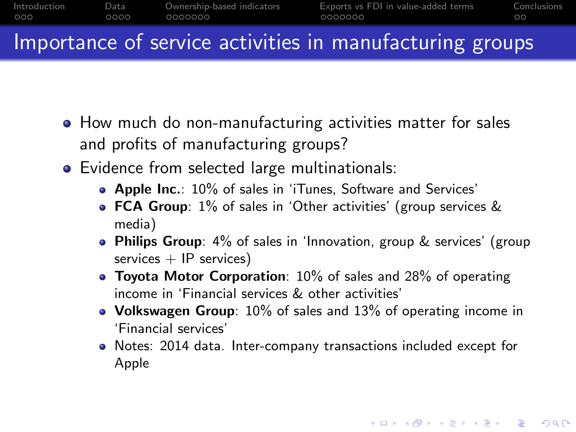

## Importance of service activities in manufacturing groups

- How much do non-manufacturing activities matter for sales and profits of manufacturing groups?
- Evidence from selected large multinationals:
	- **Apple Inc.:** 10% of sales in 'iTunes, Software and Services'
	- **FCA Group:** 1% of sales in 'Other activities' (group services & media)
	- Philips Group: 4% of sales in 'Innovation, group & services' (group services  $+$  IP services)
	- $\bullet$  Toyota Motor Corporation: 10% of sales and 28% of operating income in 'Financial services & other activities'
	- Volkswagen Group: 10% of sales and 13% of operating income in 'Financial services'
	- Notes: 2014 data. Inter-company transactions included except for Apple

**KORKA SERKER ORA**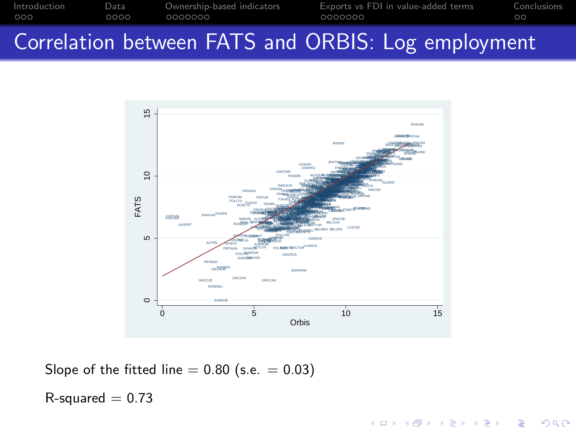[Introduction](#page-2-0) [Data](#page-5-0) [Ownership-based indicators](#page-9-0) [Exports vs FDI in value-added terms](#page-16-0) [Conclusions](#page-23-0)

# Correlation between FATS and ORBIS: Log employment



K ロ ▶ K @ ▶ K 할 > K 할 > 1 할 > 1 이익어

Slope of the fitted line  $= 0.80$  (s.e.  $= 0.03$ )

 $R$ -squared = 0.73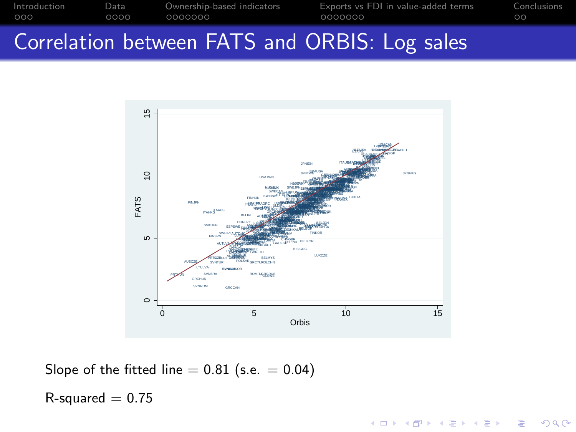[Introduction](#page-2-0) [Data](#page-5-0) [Ownership-based indicators](#page-9-0) [Exports vs FDI in value-added terms](#page-16-0) [Conclusions](#page-23-0)

#### Correlation between FATS and ORBIS: Log sales



K ロ ▶ K @ ▶ K 할 > K 할 > 1 할 > 1 이익어

Slope of the fitted line  $= 0.81$  (s.e.  $= 0.04$ )

 $R$ -squared  $= 0.75$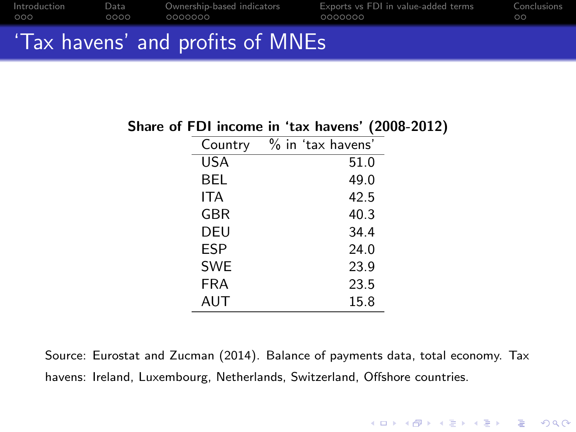| Introduction | Data | Ownership-based indicators       | Exports vs FDI in value-added terms | Conclusions |
|--------------|------|----------------------------------|-------------------------------------|-------------|
| 000          | 0000 | 0000000                          | 0000000                             | ററ          |
|              |      | 'Tax havens' and profits of MNEs |                                     |             |

#### Share of FDI income in 'tax havens' (2008-2012)

| Country    | $\%$ in 'tax havens' |
|------------|----------------------|
| <b>USA</b> | 51.0                 |
| BEL        | 49.0                 |
| ITA        | 42.5                 |
| GBR        | 40.3                 |
| DEU        | 34.4                 |
| <b>ESP</b> | 24.0                 |
| <b>SWE</b> | 23.9                 |
| FRA        | 23.5                 |
| AUT        | 15.8                 |

Source: Eurostat and Zucman (2014). Balance of payments data, total economy. Tax havens: Ireland, Luxembourg, Netherlands, Switzerland, Offshore countries.